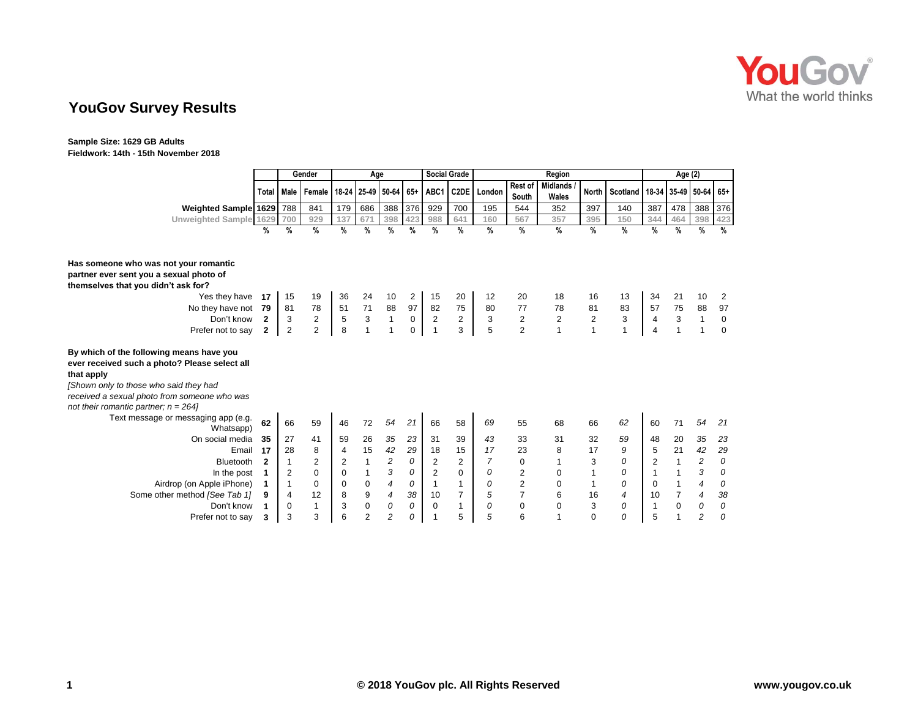

# **YouGov Survey Results**

**Sample Size: 1629 GB Adults Fieldwork: 14th - 15th November 2018**

|                                                                                                                                                                                                                                            |                | Gender<br>Age  |                |      |                  | <b>Social Grade</b><br>Region |             |                |                   |                | Age (2)          |                          |                |                                                |     |      |                         |               |
|--------------------------------------------------------------------------------------------------------------------------------------------------------------------------------------------------------------------------------------------|----------------|----------------|----------------|------|------------------|-------------------------------|-------------|----------------|-------------------|----------------|------------------|--------------------------|----------------|------------------------------------------------|-----|------|-------------------------|---------------|
|                                                                                                                                                                                                                                            | Total          | Male           | Female         |      |                  | 18-24 25-49 50-64 65+ ABC1    |             |                | C <sub>2</sub> DE | London         | Rest of<br>South | <b>Midlands</b><br>Wales |                | North   Scotland   18-34   35-49   50-64   65+ |     |      |                         |               |
| Weighted Sample 1629 788                                                                                                                                                                                                                   |                |                | 841            | 179  | 686              | 388                           | 376         | 929            | 700               | 195            | 544              | 352                      | 397            | 140                                            | 387 | 478  | 388                     | 376           |
| Unweighted Sample 1629                                                                                                                                                                                                                     |                | 700            | 929            | 137  | 671              | 398                           | 423         | 988            | 641               | 160            | 567              | 357                      | 395            | 150                                            | 344 | 464  | 398                     | 423           |
|                                                                                                                                                                                                                                            | %              | %              | %              | $\%$ | $\frac{0}{0}$    | %                             | $\%$        | %              | %                 | $\frac{0}{0}$  | $\%$             | $\frac{9}{6}$            | $\%$           | %                                              | %   | $\%$ | %                       | $\frac{9}{6}$ |
|                                                                                                                                                                                                                                            |                |                |                |      |                  |                               |             |                |                   |                |                  |                          |                |                                                |     |      |                         |               |
| Has someone who was not your romantic                                                                                                                                                                                                      |                |                |                |      |                  |                               |             |                |                   |                |                  |                          |                |                                                |     |      |                         |               |
| partner ever sent you a sexual photo of                                                                                                                                                                                                    |                |                |                |      |                  |                               |             |                |                   |                |                  |                          |                |                                                |     |      |                         |               |
| themselves that you didn't ask for?                                                                                                                                                                                                        |                |                |                |      |                  |                               |             |                |                   |                |                  |                          |                |                                                |     |      |                         |               |
| Yes they have                                                                                                                                                                                                                              | 17             | 15             | 19             | 36   | 24               | 10                            | 2           | 15             | 20                | 12             | 20               | 18                       | 16             | 13                                             | 34  | 21   | 10                      | 2             |
| No they have not                                                                                                                                                                                                                           | 79             | 81             | 78             | 51   | $71$             | 88                            | 97          | 82             | 75                | 80             | 77               | 78                       | 81             | 83                                             | 57  | 75   | 88                      | 97            |
| Don't know                                                                                                                                                                                                                                 | $\overline{2}$ | 3              | $\overline{c}$ | 5    | $\mathsf 3$      | $\mathbf{1}$                  | $\mathbf 0$ | $\sqrt{2}$     | $\overline{2}$    | 3              | $\boldsymbol{2}$ | $\overline{2}$           | $\overline{2}$ | 3                                              | 4   | 3    | $\mathbf{1}$            | $\mathbf 0$   |
| Prefer not to say                                                                                                                                                                                                                          | $\mathbf{2}$   | 2              | 2              | 8    |                  | 1                             | 0           | 1              | 3                 | 5              | $\overline{2}$   | $\overline{1}$           | 1              | $\mathbf{1}$                                   | 4   | 1    | $\mathbf 1$             | $\mathbf 0$   |
| By which of the following means have you<br>ever received such a photo? Please select all<br>that apply<br>[Shown only to those who said they had<br>received a sexual photo from someone who was<br>not their romantic partner; $n = 264$ |                |                |                |      |                  |                               |             |                |                   |                |                  |                          |                |                                                |     |      |                         |               |
| Text message or messaging app (e.g.<br>Whatsapp)                                                                                                                                                                                           | 62             | 66             | 59             | 46   | 72               | 54                            | 21          | 66             | 58                | 69             | 55               | 68                       | 66             | 62                                             | 60  | 71   | 54                      | 21            |
| On social media                                                                                                                                                                                                                            | 35             | 27             | 41             | 59   | 26               | 35                            | 23          | 31             | 39                | 43             | 33               | 31                       | 32             | 59                                             | 48  | 20   | 35                      | 23            |
| Email                                                                                                                                                                                                                                      | 17             | 28             | 8              | 4    | 15               | 42                            | 29          | 18             | 15                | 17             | 23               | 8                        | 17             | 9                                              | 5   | 21   | 42                      | 29            |
| Bluetooth                                                                                                                                                                                                                                  | $\mathbf{2}$   | $\mathbf 1$    | 2              | 2    | $\mathbf{1}$     | $\overline{c}$                | 0           | $\overline{c}$ | $\overline{2}$    | $\overline{7}$ | 0                | $\mathbf{1}$             | 3              | 0                                              | 2   | 1    | $\overline{\mathbf{c}}$ | 0             |
| In the post                                                                                                                                                                                                                                |                | 2              | 0              | 0    |                  | 3                             | 0           | $\overline{c}$ | 0                 | 0              | 2                | $\mathbf 0$              | 1              | 0                                              |     | 1    | 3                       | 0             |
| Airdrop (on Apple iPhone)                                                                                                                                                                                                                  | 1              |                | $\Omega$       | 0    | $\pmb{0}$        | $\overline{4}$                | 0           | $\mathbf{1}$   | 1                 | 0              | $\overline{2}$   | $\Omega$                 | 1              | 0                                              | 0   | 1    | $\overline{4}$          | 0             |
| Some other method [See Tab 1]                                                                                                                                                                                                              | 9              | $\overline{4}$ | 12             | 8    | $\boldsymbol{9}$ | 4                             | 38          | 10             | $\overline{7}$    | 5              | $\overline{7}$   | 6                        | 16             | 4                                              | 10  | 7    | $\overline{4}$          | 38            |
| Don't know                                                                                                                                                                                                                                 |                | $\mathbf 0$    | 1              | 3    | $\mathbf 0$      | 0                             | 0           | $\mathbf 0$    | $\mathbf{1}$      | 0              | $\mathbf 0$      | $\mathbf 0$              | 3              | 0                                              | 1   | 0    | 0                       | 0             |
| Prefer not to say                                                                                                                                                                                                                          | 3              | 3              | 3              | 6    | $\overline{2}$   | $\overline{c}$                | 0           | 1              | 5                 | 5              | 6                | $\mathbf{1}$             | 0              | 0                                              | 5   |      | $\overline{c}$          | 0             |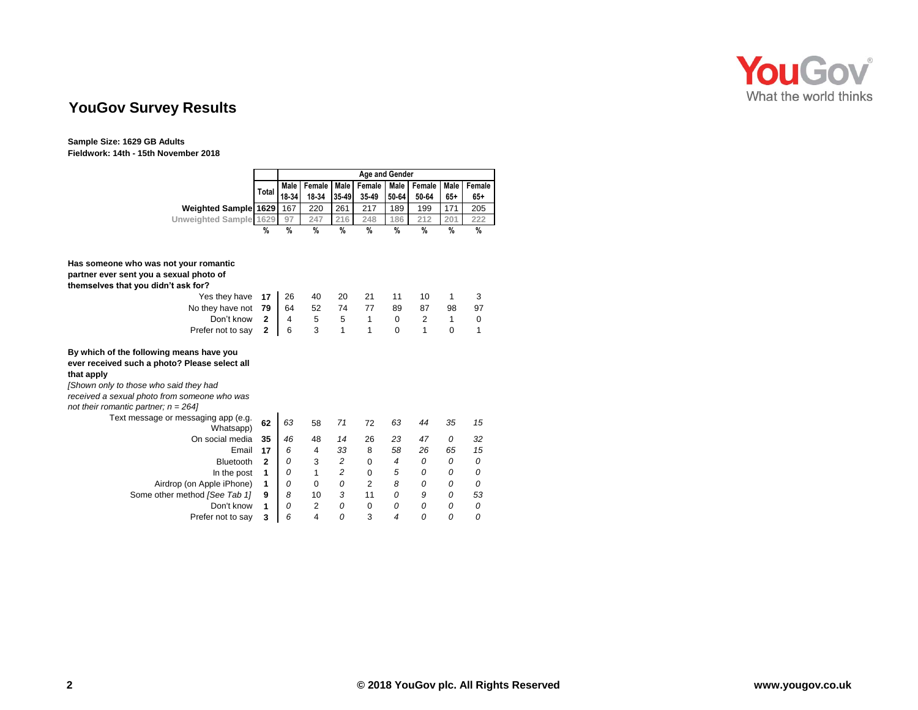

# **YouGov Survey Results**

**Sample Size: 1629 GB Adults Fieldwork: 14th - 15th November 2018**

|                                                                                                                                                   |                | <b>Age and Gender</b> |        |                |                |               |                |               |        |  |  |
|---------------------------------------------------------------------------------------------------------------------------------------------------|----------------|-----------------------|--------|----------------|----------------|---------------|----------------|---------------|--------|--|--|
|                                                                                                                                                   |                | Male                  | Female | <b>Male</b>    | Female         | Male          | Female         | Male          | Female |  |  |
|                                                                                                                                                   | Total          | 18-34                 | 18-34  | 35-49          | 35-49          | 50-64         | 50-64          | $65+$         | $65+$  |  |  |
| <b>Weighted Sample 1629</b>                                                                                                                       |                | 167                   | 220    | 261            | 217            | 189           | 199            | 171           | 205    |  |  |
| Unweighted Sample 1629                                                                                                                            |                | 97                    | 247    | 216            | 248            | 186           | 212            | 201           | 222    |  |  |
|                                                                                                                                                   | %              | $\frac{0}{0}$         | $\%$   | $\frac{0}{0}$  | $\frac{9}{6}$  | $\frac{0}{0}$ | $\frac{0}{0}$  | $\frac{9}{6}$ | $\%$   |  |  |
|                                                                                                                                                   |                |                       |        |                |                |               |                |               |        |  |  |
| Has someone who was not your romantic                                                                                                             |                |                       |        |                |                |               |                |               |        |  |  |
| partner ever sent you a sexual photo of                                                                                                           |                |                       |        |                |                |               |                |               |        |  |  |
| themselves that you didn't ask for?                                                                                                               |                |                       |        |                |                |               |                |               |        |  |  |
| Yes they have                                                                                                                                     | 17             | 26                    | 40     | 20             | 21             | 11            | 10             | 1             | 3      |  |  |
| No they have not                                                                                                                                  | 79             | 64                    | 52     | 74             | 77             | 89            | 87             | 98            | 97     |  |  |
| Don't know                                                                                                                                        | $\mathbf{2}$   | 4                     | 5      | 5              | 1              | 0             | $\overline{2}$ | 1             | 0      |  |  |
| Prefer not to say                                                                                                                                 | $\mathbf{2}$   | 6                     | 3      | 1              | 1              | 0             | 1              | $\mathbf 0$   | 1      |  |  |
| By which of the following means have you<br>ever received such a photo? Please select all<br>that apply<br>[Shown only to those who said they had |                |                       |        |                |                |               |                |               |        |  |  |
| received a sexual photo from someone who was                                                                                                      |                |                       |        |                |                |               |                |               |        |  |  |
| not their romantic partner; $n = 264$                                                                                                             |                |                       |        |                |                |               |                |               |        |  |  |
| Text message or messaging app (e.g.<br>Whatsapp)                                                                                                  | 62             | 63                    | 58     | 71             | 72             | 63            | 44             | 35            | 15     |  |  |
| On social media                                                                                                                                   | 35             | 46                    | 48     | 14             | 26             | 23            | 47             | 0             | 32     |  |  |
| Email                                                                                                                                             | 17             | 6                     | 4      | 33             | 8              | 58            | 26             | 65            | 15     |  |  |
| <b>Bluetooth</b>                                                                                                                                  | $\overline{2}$ | 0                     | 3      | $\overline{c}$ | $\mathbf 0$    | 4             | 0              | 0             | 0      |  |  |
| In the post                                                                                                                                       | 1              | 0                     | 1      | $\overline{c}$ | $\Omega$       | 5             | 0              | 0             | 0      |  |  |
| Airdrop (on Apple iPhone)                                                                                                                         | 1              | 0                     | 0      | 0              | $\overline{2}$ | 8             | 0              | 0             | 0      |  |  |
| Some other method [See Tab 1]                                                                                                                     | 9              | 8                     | 10     | 3              | 11             | 0             | 9              | 0             | 53     |  |  |
| Don't know                                                                                                                                        | 1              | 0                     | 2      | 0              | $\mathbf 0$    | 0             | 0              | 0             | 0      |  |  |
| Prefer not to say                                                                                                                                 | 3              | 6                     | 4      | 0              | 3              | 4             | 0              | 0             | 0      |  |  |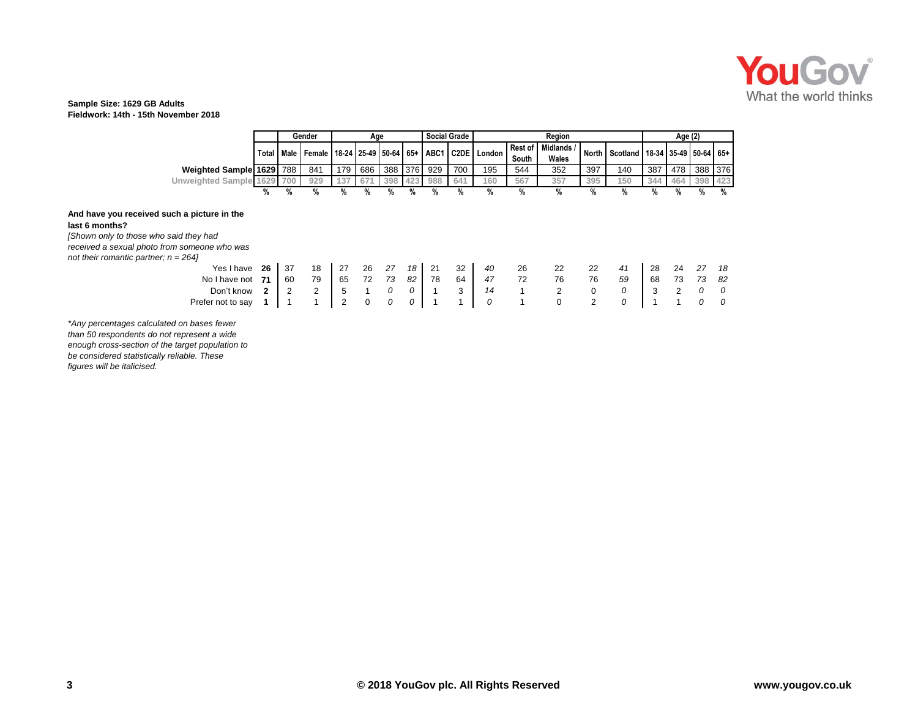

### **Sample Size: 1629 GB Adults Fieldwork: 14th - 15th November 2018**

|                                                                                                                                                                                                                                    |                         |                | Gender                | Age                   |              |          |          | <b>Social Grade</b><br>Region |          |                          |                  |                     | Age (2)     |                                                |          |                |             |           |
|------------------------------------------------------------------------------------------------------------------------------------------------------------------------------------------------------------------------------------|-------------------------|----------------|-----------------------|-----------------------|--------------|----------|----------|-------------------------------|----------|--------------------------|------------------|---------------------|-------------|------------------------------------------------|----------|----------------|-------------|-----------|
|                                                                                                                                                                                                                                    |                         |                | Total   Male   Female | 18-24 25-49 50-64 65+ |              |          |          | ABC1                          |          | C <sub>2</sub> DE London | Rest of<br>South | Midlands /<br>Wales |             | North   Scotland   18-34   35-49   50-64   65+ |          |                |             |           |
| Weighted Sample 1629 788                                                                                                                                                                                                           |                         |                | 841                   | 179 I                 | 686          | 388 376  |          | 929                           | 700      | 195                      | 544              | 352                 | 397         | 140                                            | 387      |                | 478 388 376 |           |
| Unweighted Sample 1629 700                                                                                                                                                                                                         |                         |                | 929                   | 137                   | 671          | 398      | 423      | 988                           | 641      | 160                      | 567              | 357                 | 395         | 150                                            | 344      | 464            | 398 423     |           |
|                                                                                                                                                                                                                                    | %                       | %              | %                     | %                     | %            | %        | %        | %                             | %        | %                        | %                | %                   | %           | %                                              | %        | %              | %           | %         |
| And have you received such a picture in the<br>last 6 months?<br>[Shown only to those who said they had<br>received a sexual photo from someone who was<br>not their romantic partner; $n = 264$<br>Yes I have<br>No I have not 71 | 26                      | -37<br>60      | 18<br>79              | 27<br>65              | 26<br>72     | 27<br>73 | 18<br>82 | 21<br>78                      | 32<br>64 | 40<br>47                 | 26<br>72         | 22<br>76            | 22<br>76    | 41<br>59                                       | 28<br>68 | 24<br>73       | 27<br>73    | 18<br>-82 |
| Don't know                                                                                                                                                                                                                         | $\overline{\mathbf{2}}$ | $\overline{2}$ | 2                     | 5                     | $\mathbf{1}$ | 0        | 0        |                               | 3        | 14                       | $\mathbf{1}$     | $\overline{2}$      | $\mathbf 0$ | 0                                              | 3        | $\overline{2}$ | 0           | 0         |
| Prefer not to say                                                                                                                                                                                                                  |                         | -1             |                       | $\overline{2}$        | $\mathbf 0$  | 0        | 0        |                               |          | 0                        | $\mathbf 1$      | 0                   | 2           | 0                                              |          |                | 0           | 0         |

*\*Any percentages calculated on bases fewer than 50 respondents do not represent a wide enough cross-section of the target population to be considered statistically reliable. These figures will be italicised.*